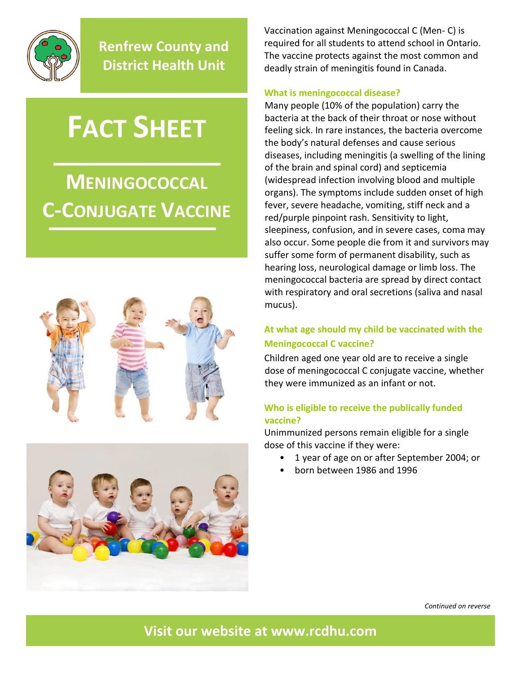

**Renfrew County and District Health Unit**

# **FACT SHEET**

## **MENINGOCOCCAL C-CONJUGATE VACCINE**





Vaccination against Meningococcal C (Men- C) is required for all students to attend school in Ontario. The vaccine protects against the most common and deadly strain of meningitis found in Canada.

#### **What is meningococcal disease?**

Many people (10% of the population) carry the bacteria at the back of their throat or nose without feeling sick. In rare instances, the bacteria overcome the body's natural defenses and cause serious diseases, including meningitis (a swelling of the lining of the brain and spinal cord) and septicemia (widespread infection involving blood and multiple organs). The symptoms include sudden onset of high fever, severe headache, vomiting, stiff neck and a red/purple pinpoint rash. Sensitivity to light, sleepiness, confusion, and in severe cases, coma may also occur. Some people die from it and survivors may suffer some form of permanent disability, such as hearing loss, neurological damage or limb loss. The meningococcal bacteria are spread by direct contact with respiratory and oral secretions (saliva and nasal mucus).

#### **At what age should my child be vaccinated with the Meningococcal C vaccine?**

Children aged one year old are to receive a single dose of meningococcal C conjugate vaccine, whether they were immunized as an infant or not.

#### **Who is eligible to receive the publically funded vaccine?**

Unimmunized persons remain eligible for a single dose of this vaccine if they were:

- 1 year of age on or after September 2004; or
- born between 1986 and 1996

*Continued on reverse*

**Visit our website at [www.rcdhu.com](http://www.rcdhu.com/)**